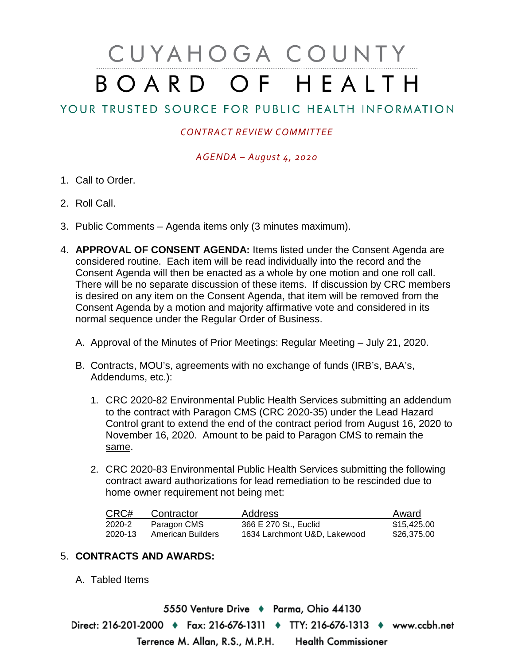# CUYAHOGA COUNTY BOARD OF HEALTH

# YOUR TRUSTED SOURCE FOR PUBLIC HEALTH INFORMATION

# *CONTRACT REVIEW COMMITTEE*

#### *AGENDA – August 4, 2020*

- 1. Call to Order.
- 2. Roll Call.
- 3. Public Comments Agenda items only (3 minutes maximum).
- 4. **APPROVAL OF CONSENT AGENDA:** Items listed under the Consent Agenda are considered routine. Each item will be read individually into the record and the Consent Agenda will then be enacted as a whole by one motion and one roll call. There will be no separate discussion of these items. If discussion by CRC members is desired on any item on the Consent Agenda, that item will be removed from the Consent Agenda by a motion and majority affirmative vote and considered in its normal sequence under the Regular Order of Business.
	- A. Approval of the Minutes of Prior Meetings: Regular Meeting July 21, 2020.
	- B. Contracts, MOU's, agreements with no exchange of funds (IRB's, BAA's, Addendums, etc.):
		- 1. CRC 2020-82 Environmental Public Health Services submitting an addendum to the contract with Paragon CMS (CRC 2020-35) under the Lead Hazard Control grant to extend the end of the contract period from August 16, 2020 to November 16, 2020. Amount to be paid to Paragon CMS to remain the same.
		- 2. CRC 2020-83 Environmental Public Health Services submitting the following contract award authorizations for lead remediation to be rescinded due to home owner requirement not being met:

| CRC#    | Contractor        | Address                      | Award       |
|---------|-------------------|------------------------------|-------------|
| 2020-2  | Paragon CMS       | 366 E 270 St., Euclid        | \$15,425.00 |
| 2020-13 | American Builders | 1634 Larchmont U&D, Lakewood | \$26.375.00 |

#### 5. **CONTRACTS AND AWARDS:**

A. Tabled Items

5550 Venture Drive + Parma, Ohio 44130 Direct: 216-201-2000 ♦ Fax: 216-676-1311 ♦ TTY: 216-676-1313 ♦ www.ccbh.net Terrence M. Allan, R.S., M.P.H. Health Commissioner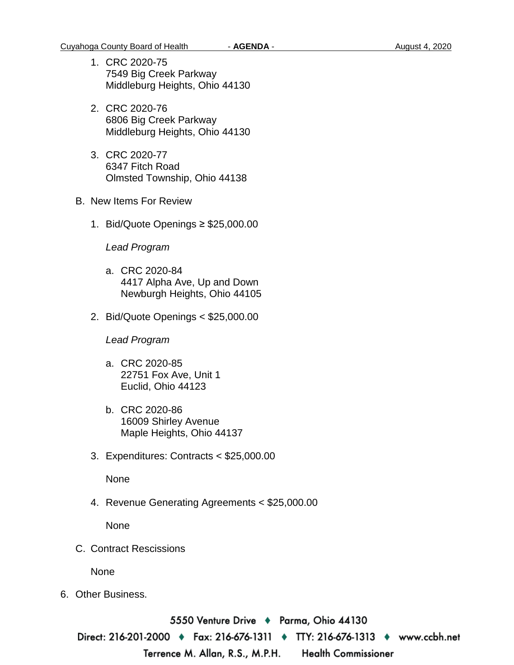- 
- 1. CRC 2020-75 7549 Big Creek Parkway Middleburg Heights, Ohio 44130
- 2. CRC 2020-76 6806 Big Creek Parkway Middleburg Heights, Ohio 44130
- 3. CRC 2020-77 6347 Fitch Road Olmsted Township, Ohio 44138
- B. New Items For Review
	- 1. Bid/Quote Openings ≥ \$25,000.00

## *Lead Program*

- a. CRC 2020-84 4417 Alpha Ave, Up and Down Newburgh Heights, Ohio 44105
- 2. Bid/Quote Openings < \$25,000.00

## *Lead Program*

- a. CRC 2020-85 22751 Fox Ave, Unit 1 Euclid, Ohio 44123
- b. CRC 2020-86 16009 Shirley Avenue Maple Heights, Ohio 44137
- 3. Expenditures: Contracts < \$25,000.00

None

4. Revenue Generating Agreements < \$25,000.00

None

C. Contract Rescissions

None

6. Other Business.

5550 Venture Drive ♦ Parma, Ohio 44130

Direct: 216-201-2000 ♦ Fax: 216-676-1311 ♦ TTY: 216-676-1313 ♦ www.ccbh.net

**Health Commissioner** 

Terrence M. Allan, R.S., M.P.H.